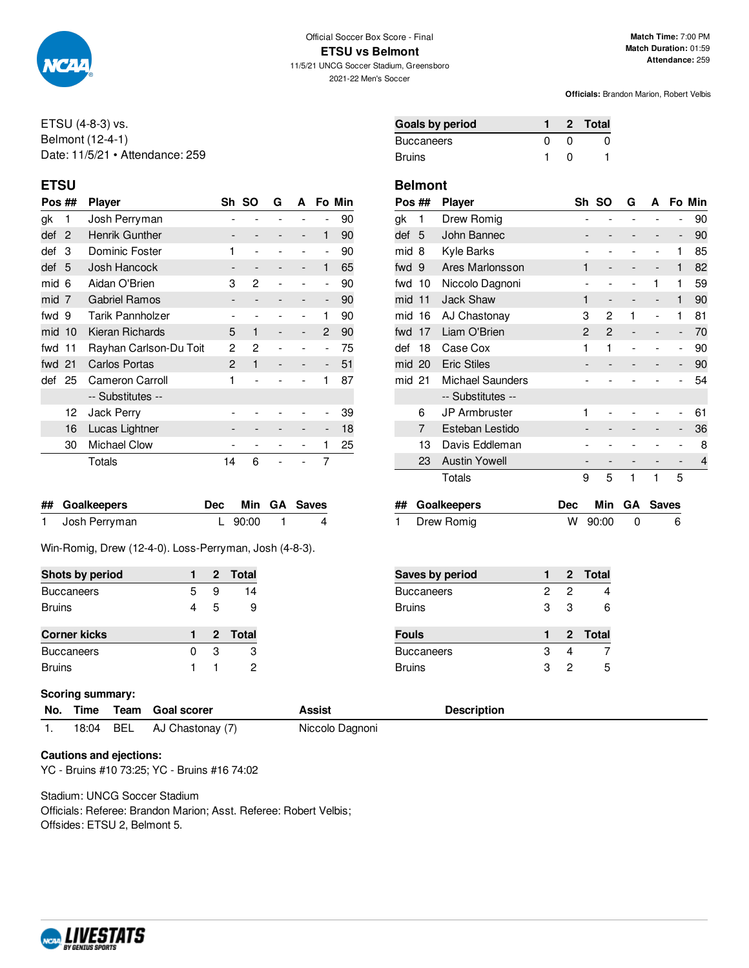

ETSU (4-8-3) vs. Belmont (12-4-1) Date: 11/5/21 • Attendance: 259

| Pos ##   |    | <b>Player</b>          | Sh SO<br>G<br>A |                              |  | Fo Min |                          |    |
|----------|----|------------------------|-----------------|------------------------------|--|--------|--------------------------|----|
| gk       | 1  | Josh Perryman          |                 |                              |  |        |                          | 90 |
| def      | 2  | Henrik Gunther         |                 |                              |  | -      | 1                        | 90 |
| def      | 3  | Dominic Foster         | 1               |                              |  |        | $\overline{a}$           | 90 |
| def      | 5  | Josh Hancock           |                 | $\qquad \qquad \blacksquare$ |  | -      | 1                        | 65 |
| mid      | -6 | Aidan O'Brien          | 3               | 2                            |  |        | $\overline{a}$           | 90 |
| mid 7    |    | <b>Gabriel Ramos</b>   |                 |                              |  |        | $\overline{\phantom{a}}$ | 90 |
| fwd 9    |    | Tarik Pannholzer       |                 |                              |  |        | 1                        | 90 |
| $mid$ 10 |    | Kieran Richards        | 5               | 1                            |  |        | 2                        | 90 |
| fwd 11   |    | Rayhan Carlson-Du Toit | 2               | 2                            |  |        | $\overline{a}$           | 75 |
| fwd 21   |    | <b>Carlos Portas</b>   | $\overline{c}$  | 1                            |  |        | $\overline{\phantom{a}}$ | 51 |
| def      | 25 | Cameron Carroll        | 1               |                              |  |        | 1                        | 87 |
|          |    | -- Substitutes --      |                 |                              |  |        |                          |    |
|          | 12 | <b>Jack Perry</b>      |                 |                              |  |        |                          | 39 |
|          | 16 | Lucas Lightner         |                 |                              |  |        | -                        | 18 |
|          | 30 | <b>Michael Clow</b>    |                 |                              |  |        | 1                        | 25 |
|          |    | Totals                 | 14              | 6                            |  |        | 7                        |    |

| ## Goalkeepers  |           | Dec Min GA Saves |
|-----------------|-----------|------------------|
| 1 Josh Perryman | L 90:00 1 | 4                |

Win-Romig, Drew (12-4-0). Loss-Perryman, Josh (4-8-3).

| Shots by period     |   |   | 2 Total |
|---------------------|---|---|---------|
| <b>Buccaneers</b>   | 5 | 9 | 14      |
| <b>Bruins</b>       | 4 | 5 | 9       |
|                     |   |   |         |
|                     |   |   |         |
| <b>Corner kicks</b> |   |   | 2 Total |
| <b>Buccaneers</b>   | O | з | 3       |

## **Scoring summary:**

**No. Time Team Goal scorer <b>Desiminal Assist** 

1. 18:04 BEL AJ Chastonay (7) Niccolo Dagnoni

# **Cautions and ejections:**

YC - Bruins #10 73:25; YC - Bruins #16 74:02

Stadium: UNCG Soccer Stadium Officials: Referee: Brandon Marion; Asst. Referee: Robert Velbis; Offsides: ETSU 2, Belmont 5.

| Goals by period   |  | 2 Total |
|-------------------|--|---------|
| <b>Buccaneers</b> |  |         |
| Bruins            |  |         |

## **ETSU Belmont**

| Pos ##<br><b>Player</b>       |                |                              | G     | А |                | Fo Min       |
|-------------------------------|----------------|------------------------------|-------|---|----------------|--------------|
| Drew Romig                    |                |                              |       |   |                | 90           |
| John Bannec                   |                |                              |       |   | -              | 90           |
| Kyle Barks                    |                |                              |       |   | 1              | 85           |
| Ares Marlonsson               | 1              |                              |       |   | 1              | 82           |
| 10<br>Niccolo Dagnoni         |                |                              |       | 1 | 1              | 59           |
| <b>Jack Shaw</b><br>11        | 1              | $\qquad \qquad \blacksquare$ | -     | - | 1              | 90           |
| 16<br>AJ Chastonay            | 3              | 2                            | 1     |   | 1              | 81           |
| Liam O'Brien<br>17            | $\overline{c}$ | $\overline{2}$               |       |   | -              | 70           |
| 18<br>Case Cox                | 1              | 1                            |       |   | $\overline{a}$ | 90           |
| <b>Eric Stiles</b><br>mid 20  | -              |                              |       |   | -              | 90           |
| <b>Michael Saunders</b><br>21 |                |                              |       |   |                | 54           |
| -- Substitutes --             |                |                              |       |   |                |              |
| JP Armbruster                 | 1              |                              |       |   | -              | 61           |
| Esteban Lestido               |                |                              |       |   | -              | 36           |
| 13<br>Davis Eddleman          |                |                              |       |   |                | 8            |
| <b>Austin Yowell</b><br>23    |                |                              |       |   |                | 4            |
| Totals                        | 9              | 5                            | 1     | 1 | 5              |              |
| <b>Goalkeepers</b><br>##      |                | Min                          | GA    |   |                |              |
|                               |                | <b>Dec</b>                   | Sh SO |   |                | <b>Saves</b> |

| Drew Romig | W 90:00 |  |  |
|------------|---------|--|--|
|------------|---------|--|--|

| Saves by period   |   |   | 2 Total |
|-------------------|---|---|---------|
| <b>Buccaneers</b> | 2 | 2 |         |
| <b>Bruins</b>     | 3 | 3 | 6       |
| <b>Fouls</b>      |   |   | 2 Total |
| <b>Buccaneers</b> | З |   |         |
| <b>Bruins</b>     | з | 2 | 5       |

| <b>Description</b> |
|--------------------|
|--------------------|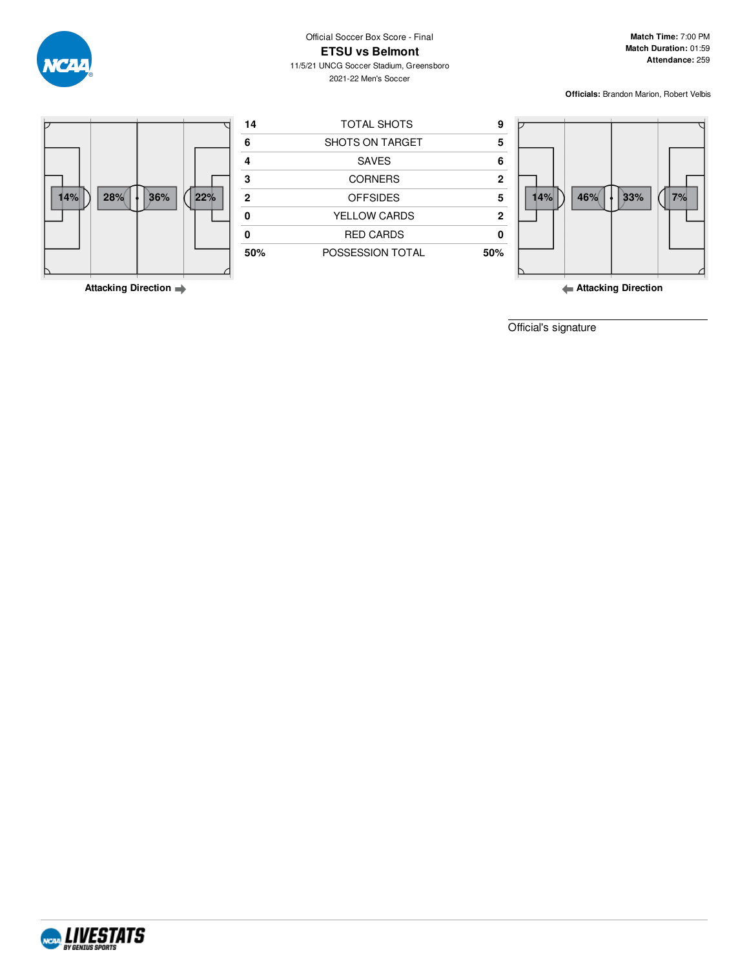Official Soccer Box Score - Final

**ETSU vs Belmont**

11/5/21 UNCG Soccer Stadium, Greensboro 2021-22 Men's Soccer

**Match Time:** 7:00 PM **Match Duration:** 01:59 **Attendance:** 259

**Officials:** Brandon Marion, Robert Velbis



**Attacking Direction**

**Attacking Direction**

Official's signature



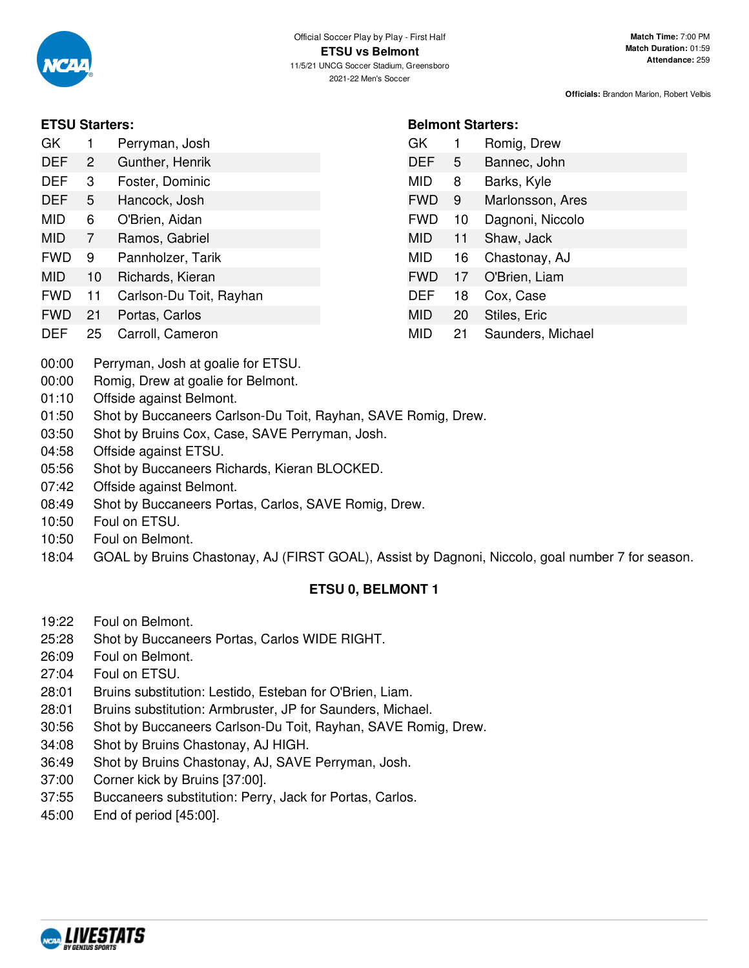

**Belmont Starters:**

GK 1 Romig, Drew DEF 5 Bannec, John MID 8 Barks, Kyle

FWD 9 Marlonsson, Ares FWD 10 Dagnoni, Niccolo MID 11 Shaw, Jack MID 16 Chastonay, AJ FWD 17 O'Brien, Liam DEF 18 Cox, Case MID 20 Stiles, Eric

MID 21 Saunders, Michael

**Officials:** Brandon Marion, Robert Velbis

# **ETSU Starters:**

| GK.        | 1  | Perryman, Josh          |
|------------|----|-------------------------|
| DEF        | 2  | Gunther, Henrik         |
| DEF        | 3  | Foster, Dominic         |
| DEF        | 5  | Hancock, Josh           |
| MID        | 6  | O'Brien, Aidan          |
| MID        | 7  | Ramos, Gabriel          |
| <b>FWD</b> | 9  | Pannholzer, Tarik       |
| MID        | 10 | Richards, Kieran        |
| FWD        | 11 | Carlson-Du Toit, Rayhan |
|            |    |                         |

- FWD 21 Portas, Carlos
- DEF 25 Carroll, Cameron
- 00:00 Perryman, Josh at goalie for ETSU.
- 00:00 Romig, Drew at goalie for Belmont.
- 01:10 Offside against Belmont.
- 01:50 Shot by Buccaneers Carlson-Du Toit, Rayhan, SAVE Romig, Drew.
- 03:50 Shot by Bruins Cox, Case, SAVE Perryman, Josh.
- 04:58 Offside against ETSU.
- 05:56 Shot by Buccaneers Richards, Kieran BLOCKED.
- 07:42 Offside against Belmont.
- 08:49 Shot by Buccaneers Portas, Carlos, SAVE Romig, Drew.
- 10:50 Foul on ETSU.
- 10:50 Foul on Belmont.
- 18:04 GOAL by Bruins Chastonay, AJ (FIRST GOAL), Assist by Dagnoni, Niccolo, goal number 7 for season.

# **ETSU 0, BELMONT 1**

- 19:22 Foul on Belmont.
- 25:28 Shot by Buccaneers Portas, Carlos WIDE RIGHT.
- 26:09 Foul on Belmont.
- 27:04 Foul on ETSU.
- 28:01 Bruins substitution: Lestido, Esteban for O'Brien, Liam.
- 28:01 Bruins substitution: Armbruster, JP for Saunders, Michael.
- 30:56 Shot by Buccaneers Carlson-Du Toit, Rayhan, SAVE Romig, Drew.
- 34:08 Shot by Bruins Chastonay, AJ HIGH.
- 36:49 Shot by Bruins Chastonay, AJ, SAVE Perryman, Josh.
- 37:00 Corner kick by Bruins [37:00].
- 37:55 Buccaneers substitution: Perry, Jack for Portas, Carlos.
- 45:00 End of period [45:00].

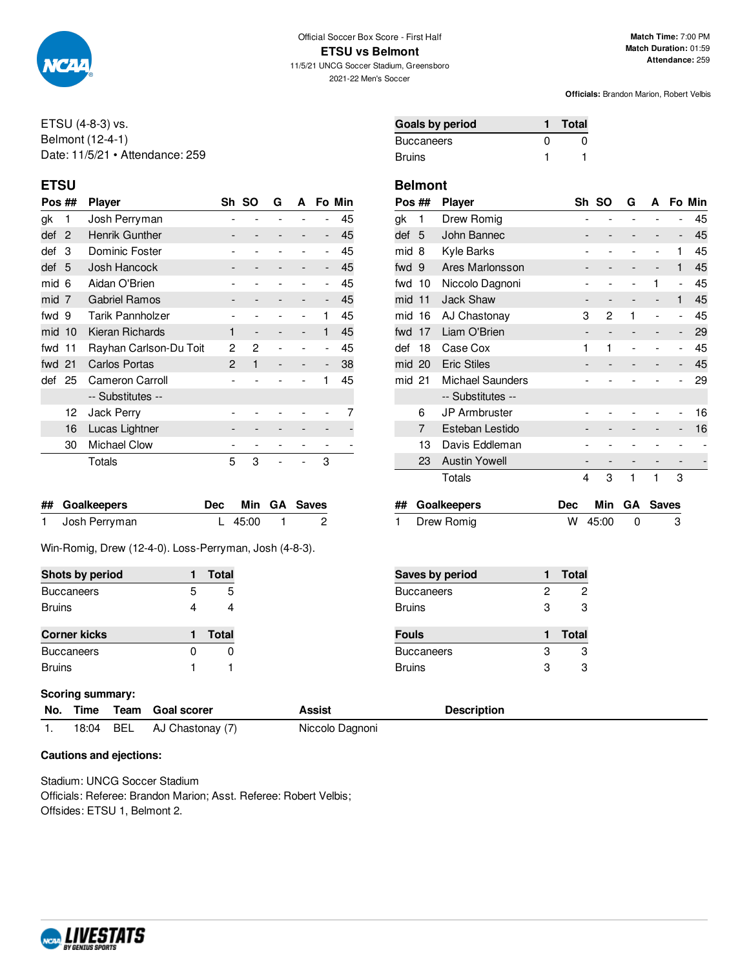

ETSU (4-8-3) vs. Belmont (12-4-1) Date: 11/5/21 • Attendance: 259

| Pos ##   |    | <b>Player</b>          | Sh SO<br>G<br>A |                   |  | Fo Min                       |    |
|----------|----|------------------------|-----------------|-------------------|--|------------------------------|----|
| gk       | 1  | Josh Perryman          |                 |                   |  |                              | 45 |
| def      | 2  | Henrik Gunther         |                 |                   |  | $\qquad \qquad \blacksquare$ | 45 |
| def      | 3  | Dominic Foster         |                 |                   |  | $\overline{\phantom{0}}$     | 45 |
| def      | 5  | Josh Hancock           |                 |                   |  | -                            | 45 |
| mid 6    |    | Aidan O'Brien          |                 |                   |  |                              | 45 |
| mid 7    |    | <b>Gabriel Ramos</b>   |                 |                   |  | $\qquad \qquad \blacksquare$ | 45 |
| fwd 9    |    | Tarik Pannholzer       |                 |                   |  | 1                            | 45 |
| $mid$ 10 |    | Kieran Richards        | 1               | $\qquad \qquad -$ |  | 1                            | 45 |
| fwd 11   |    | Rayhan Carlson-Du Toit | 2               | 2                 |  |                              | 45 |
| fwd 21   |    | <b>Carlos Portas</b>   | $\mathbf{2}$    | 1                 |  | $\overline{\phantom{a}}$     | 38 |
| def      | 25 | Cameron Carroll        |                 |                   |  | 1                            | 45 |
|          |    | -- Substitutes --      |                 |                   |  |                              |    |
|          | 12 | Jack Perry             |                 |                   |  |                              |    |
|          | 16 | Lucas Lightner         |                 |                   |  |                              |    |
|          | 30 | <b>Michael Clow</b>    |                 |                   |  |                              |    |
|          |    | Totals                 | 5               | 3                 |  | 3                            |    |

| ## Goalkeepers  |             | Dec Min GA Saves |
|-----------------|-------------|------------------|
| 1 Josh Perryman | L $45:00$ 1 | $\sim$ 2         |

Win-Romig, Drew (12-4-0). Loss-Perryman, Josh (4-8-3).

| Shots by period     |   | Total |
|---------------------|---|-------|
| <b>Buccaneers</b>   | 5 | 5     |
| <b>Bruins</b>       |   |       |
|                     |   |       |
| <b>Corner kicks</b> |   | Total |
|                     |   |       |
| <b>Buccaneers</b>   |   |       |

## **Scoring summary:**

|  | No. Time Team Goal scorer  | Assist          | <b>Description</b> |
|--|----------------------------|-----------------|--------------------|
|  | 18:04 BEL AJ Chastonay (7) | Niccolo Dagnoni |                    |

## **Cautions and ejections:**

Stadium: UNCG Soccer Stadium Officials: Referee: Brandon Marion; Asst. Referee: Robert Velbis; Offsides: ETSU 1, Belmont 2.

| Goals by period |              | <b>Total</b> |
|-----------------|--------------|--------------|
| Buccaneers      | $\mathbf{U}$ | 0            |
| Bruins          |              |              |

## **ETSU Belmont**

| Pos ##   |                 | <b>Player</b>           | Sh | <b>SO</b> | G | А                        |                          | Fo Min |
|----------|-----------------|-------------------------|----|-----------|---|--------------------------|--------------------------|--------|
| gk       | 1               | Drew Romig              |    |           |   |                          |                          | 45     |
| def      | -5              | John Bannec             |    |           |   |                          | -                        | 45     |
| mid      | 8               | Kyle Barks              |    |           |   |                          | 1                        | 45     |
| fwd 9    | Ares Marlonsson |                         |    |           | - | -                        | 1                        | 45     |
| fwd      | 10              | Niccolo Dagnoni         |    |           |   | 1                        | $\overline{\phantom{a}}$ | 45     |
| $mid$ 11 |                 | <b>Jack Shaw</b>        |    |           |   | -                        | 1                        | 45     |
| mid 16   |                 | AJ Chastonay            | 3  | 2         | 1 | $\overline{\phantom{0}}$ | $\overline{\phantom{0}}$ | 45     |
| fwd      | 17              | Liam O'Brien            |    |           |   |                          | $\overline{\phantom{m}}$ | 29     |
| def      | 18              | Case Cox                | 1  | 1         |   |                          | $\overline{a}$           | 45     |
| mid 20   |                 | <b>Eric Stiles</b>      |    |           |   |                          | -                        | 45     |
| mid 21   |                 | <b>Michael Saunders</b> |    |           |   |                          |                          | 29     |
|          |                 | -- Substitutes --       |    |           |   |                          |                          |        |
|          | 6               | <b>JP Armbruster</b>    |    |           |   |                          | $\overline{a}$           | 16     |
|          | 7               | Esteban Lestido         |    |           |   |                          | -                        | 16     |
|          | 13              | Davis Eddleman          |    |           |   |                          |                          |        |
|          | 23              | <b>Austin Yowell</b>    |    |           |   |                          |                          |        |
|          |                 | Totals                  | 4  | 3         | 1 | 1                        | 3                        |        |
|          |                 |                         |    |           |   |                          |                          |        |

| ## Goalkeepers |         | Dec Min GA Saves |
|----------------|---------|------------------|
| Drew Romig     | W 45:00 |                  |

| <b>Saves by period</b> |   | <b>Total</b> |
|------------------------|---|--------------|
| Buccaneers             | 2 | 2            |
| Bruins                 | 3 | З            |
|                        |   |              |
| Fouls                  |   | <b>Total</b> |
| Buccaneers             | З | з            |

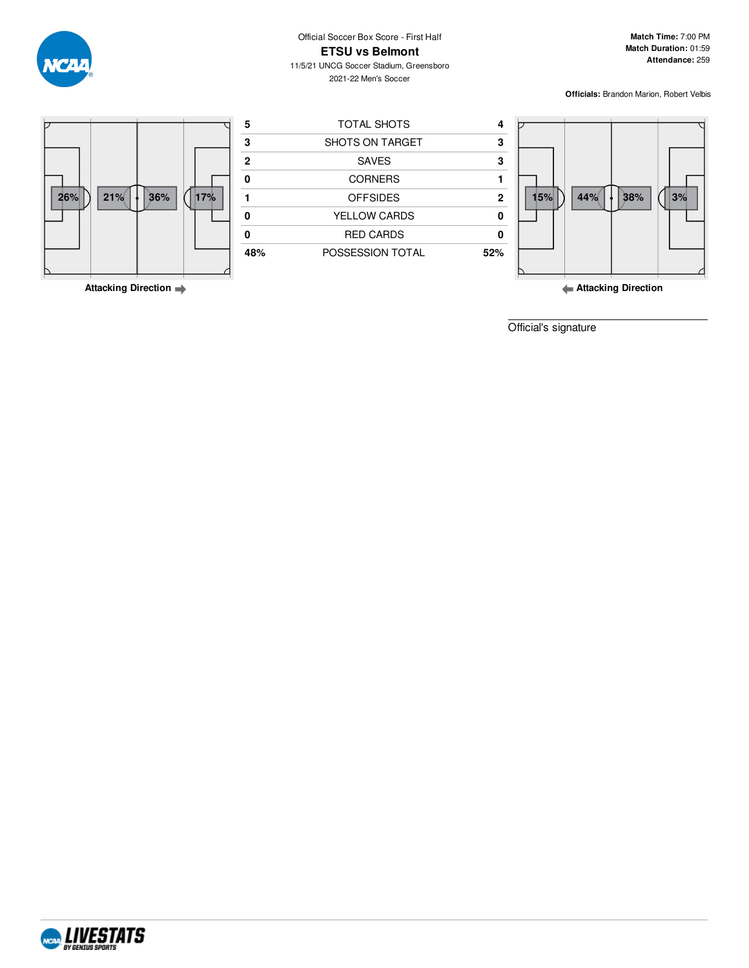Official Soccer Box Score - First Half **ETSU vs Belmont**

**Match Time:** 7:00 PM **Match Duration:** 01:59 **Attendance:** 259

11/5/21 UNCG Soccer Stadium, Greensboro 2021-22 Men's Soccer

**Officials:** Brandon Marion, Robert Velbis



**Attacking Direction**

**Attacking Direction**

Official's signature



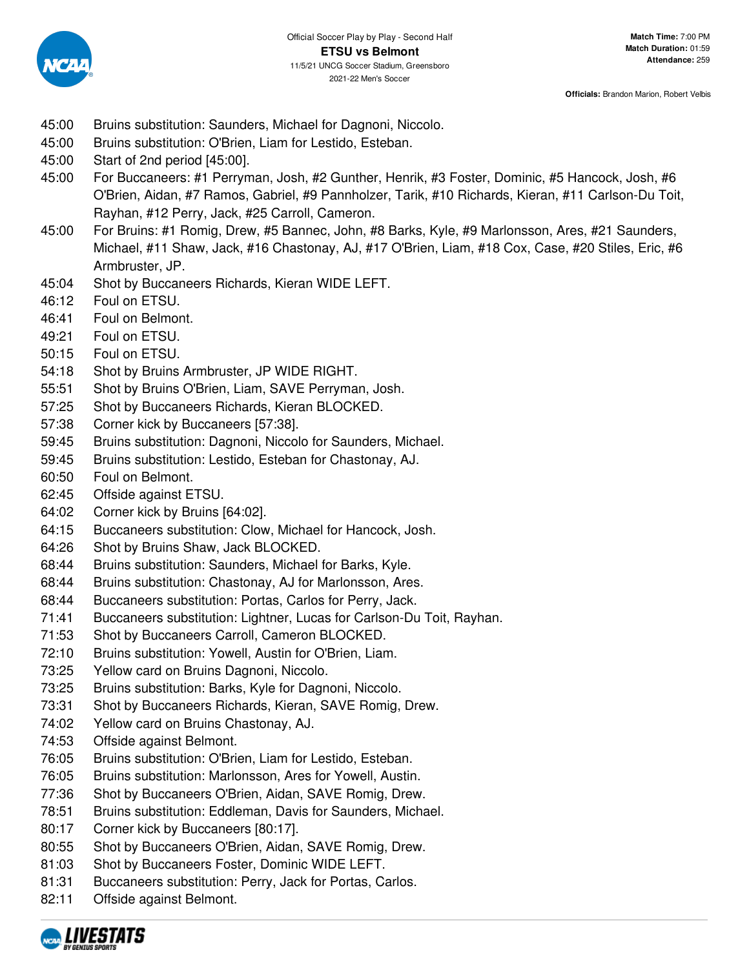

- 45:00 Bruins substitution: Saunders, Michael for Dagnoni, Niccolo.
- 45:00 Bruins substitution: O'Brien, Liam for Lestido, Esteban.
- 45:00 Start of 2nd period [45:00].
- 45:00 For Buccaneers: #1 Perryman, Josh, #2 Gunther, Henrik, #3 Foster, Dominic, #5 Hancock, Josh, #6 O'Brien, Aidan, #7 Ramos, Gabriel, #9 Pannholzer, Tarik, #10 Richards, Kieran, #11 Carlson-Du Toit, Rayhan, #12 Perry, Jack, #25 Carroll, Cameron.
- 45:00 For Bruins: #1 Romig, Drew, #5 Bannec, John, #8 Barks, Kyle, #9 Marlonsson, Ares, #21 Saunders, Michael, #11 Shaw, Jack, #16 Chastonay, AJ, #17 O'Brien, Liam, #18 Cox, Case, #20 Stiles, Eric, #6 Armbruster, JP.
- 45:04 Shot by Buccaneers Richards, Kieran WIDE LEFT.
- 46:12 Foul on ETSU.
- 46:41 Foul on Belmont.
- 49:21 Foul on ETSU.
- 50:15 Foul on ETSU.
- 54:18 Shot by Bruins Armbruster, JP WIDE RIGHT.
- 55:51 Shot by Bruins O'Brien, Liam, SAVE Perryman, Josh.
- 57:25 Shot by Buccaneers Richards, Kieran BLOCKED.
- 57:38 Corner kick by Buccaneers [57:38].
- 59:45 Bruins substitution: Dagnoni, Niccolo for Saunders, Michael.
- 59:45 Bruins substitution: Lestido, Esteban for Chastonay, AJ.
- 60:50 Foul on Belmont.
- 62:45 Offside against ETSU.
- 64:02 Corner kick by Bruins [64:02].
- 64:15 Buccaneers substitution: Clow, Michael for Hancock, Josh.
- 64:26 Shot by Bruins Shaw, Jack BLOCKED.
- 68:44 Bruins substitution: Saunders, Michael for Barks, Kyle.
- 68:44 Bruins substitution: Chastonay, AJ for Marlonsson, Ares.
- 68:44 Buccaneers substitution: Portas, Carlos for Perry, Jack.
- 71:41 Buccaneers substitution: Lightner, Lucas for Carlson-Du Toit, Rayhan.
- 71:53 Shot by Buccaneers Carroll, Cameron BLOCKED.
- 72:10 Bruins substitution: Yowell, Austin for O'Brien, Liam.
- 73:25 Yellow card on Bruins Dagnoni, Niccolo.
- 73:25 Bruins substitution: Barks, Kyle for Dagnoni, Niccolo.
- 73:31 Shot by Buccaneers Richards, Kieran, SAVE Romig, Drew.
- 74:02 Yellow card on Bruins Chastonay, AJ.
- 74:53 Offside against Belmont.
- 76:05 Bruins substitution: O'Brien, Liam for Lestido, Esteban.
- 76:05 Bruins substitution: Marlonsson, Ares for Yowell, Austin.
- 77:36 Shot by Buccaneers O'Brien, Aidan, SAVE Romig, Drew.
- 78:51 Bruins substitution: Eddleman, Davis for Saunders, Michael.
- 80:17 Corner kick by Buccaneers [80:17].
- 80:55 Shot by Buccaneers O'Brien, Aidan, SAVE Romig, Drew.
- 81:03 Shot by Buccaneers Foster, Dominic WIDE LEFT.
- 81:31 Buccaneers substitution: Perry, Jack for Portas, Carlos.
- 82:11 Offside against Belmont.

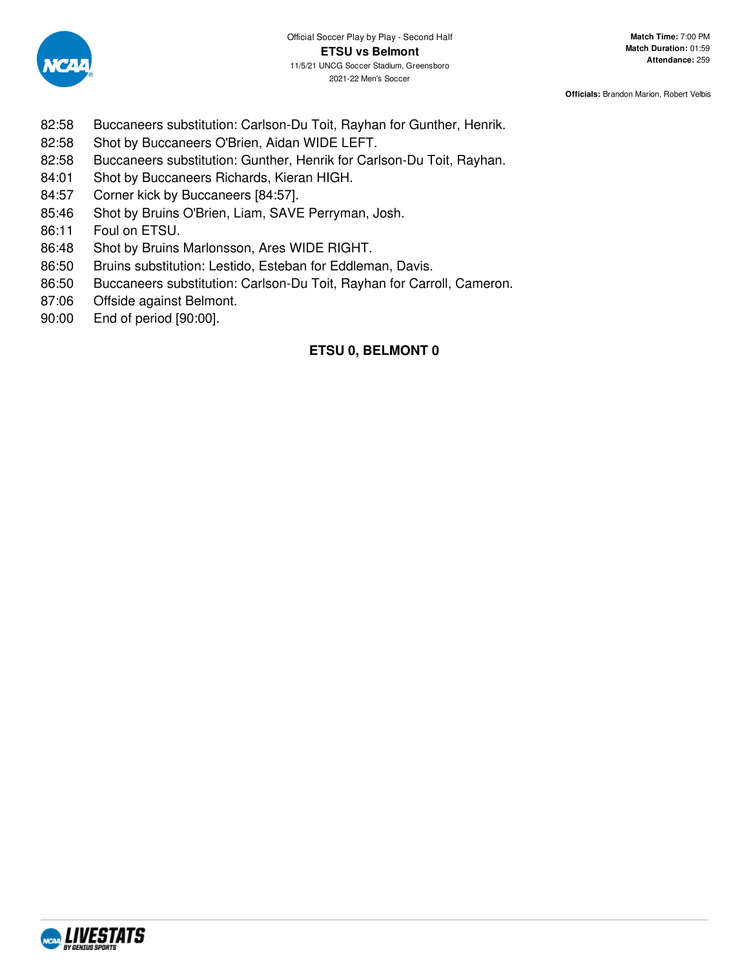

- 82:58 Buccaneers substitution: Carlson-Du Toit, Rayhan for Gunther, Henrik.
- 82:58 Shot by Buccaneers O'Brien, Aidan WIDE LEFT.
- 82:58 Buccaneers substitution: Gunther, Henrik for Carlson-Du Toit, Rayhan.
- 84:01 Shot by Buccaneers Richards, Kieran HIGH.
- 84:57 Corner kick by Buccaneers [84:57].
- 85:46 Shot by Bruins O'Brien, Liam, SAVE Perryman, Josh.
- 86:11 Foul on ETSU.
- 86:48 Shot by Bruins Marlonsson, Ares WIDE RIGHT.
- 86:50 Bruins substitution: Lestido, Esteban for Eddleman, Davis.
- 86:50 Buccaneers substitution: Carlson-Du Toit, Rayhan for Carroll, Cameron.
- 87:06 Offside against Belmont.
- 90:00 End of period [90:00].

# **ETSU 0, BELMONT 0**

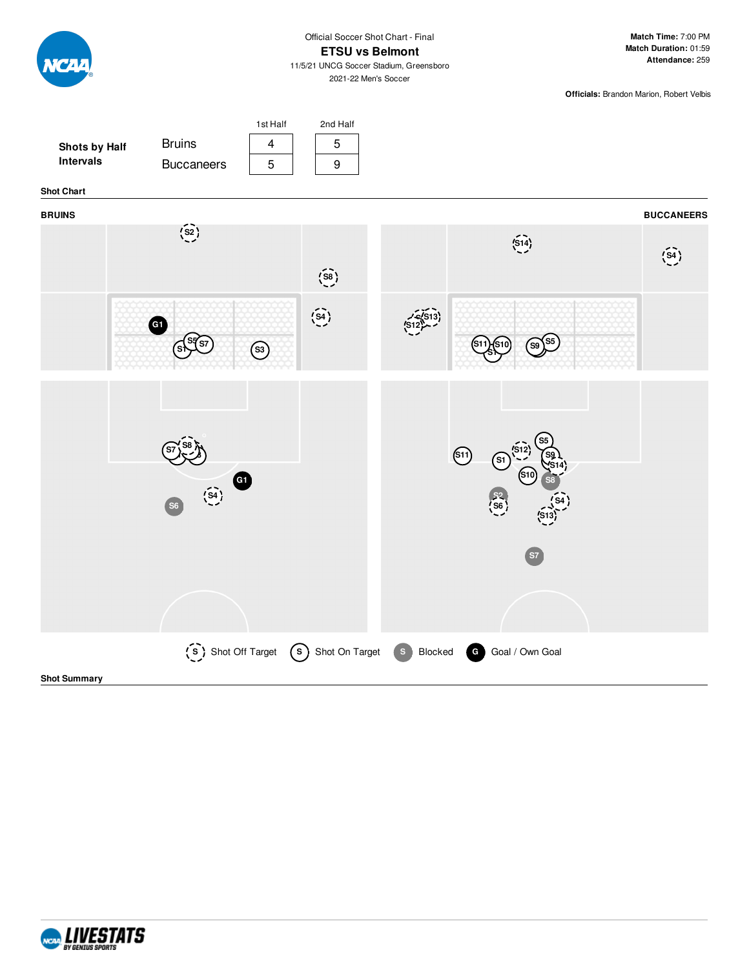

## **ETSU vs Belmont**

11/5/21 UNCG Soccer Stadium, Greensboro 2021-22 Men's Soccer

**Match Time:** 7:00 PM **Match Duration:** 01:59 **Attendance:** 259

**Officials:** Brandon Marion, Robert Velbis



**Shot Summary**